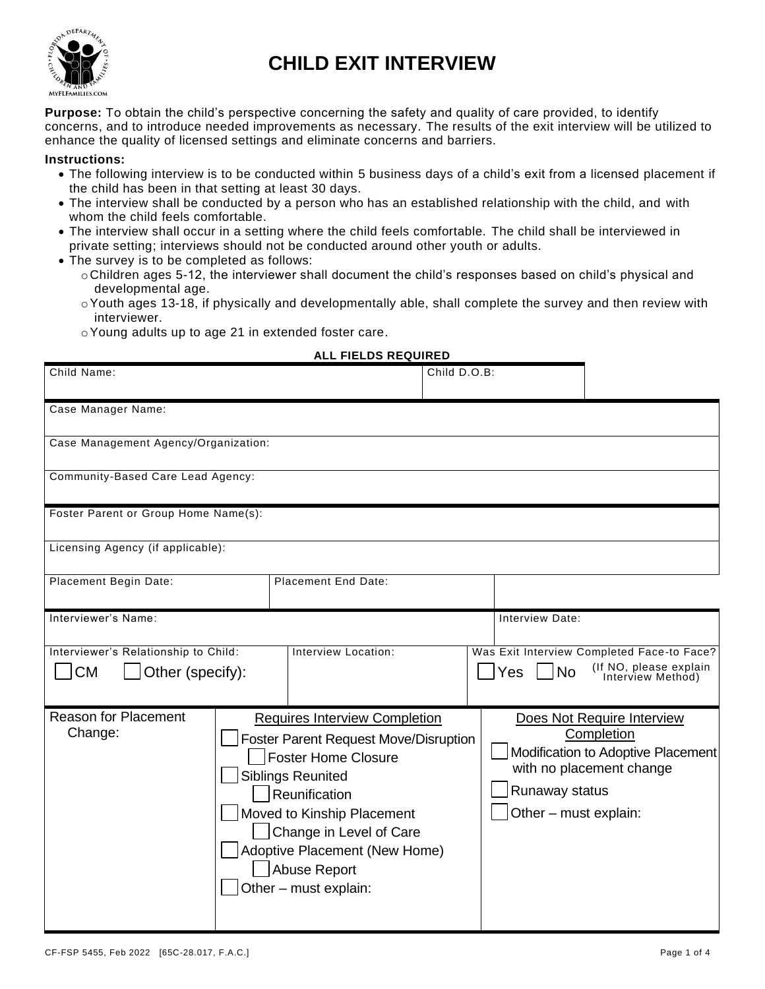

# **CHILD EXIT INTERVIEW**

**Purpose:** To obtain the child's perspective concerning the safety and quality of care provided, to identify concerns, and to introduce needed improvements as necessary. The results of the exit interview will be utilized to enhance the quality of licensed settings and eliminate concerns and barriers.

#### **Instructions:**

- The following interview is to be conducted within 5 business days of a child's exit from a licensed placement if the child has been in that setting at least 30 days.
- The interview shall be conducted by a person who has an established relationship with the child, and with whom the child feels comfortable.
- The interview shall occur in a setting where the child feels comfortable. The child shall be interviewed in private setting; interviews should not be conducted around other youth or adults.
- The survey is to be completed as follows:
	- oChildren ages 5-12, the interviewer shall document the child's responses based on child's physical and developmental age.
	- $\circ$  Youth ages 13-18, if physically and developmentally able, shall complete the survey and then review with interviewer.
	- oYoung adults up to age 21 in extended foster care.

#### **ALL FIELDS REQUIRED**

| Child Name:                                                           |                                      |                                                                                                                                                                                                                                                                                             | Child D.O.B: |                                         |                                                                                                            |  |  |
|-----------------------------------------------------------------------|--------------------------------------|---------------------------------------------------------------------------------------------------------------------------------------------------------------------------------------------------------------------------------------------------------------------------------------------|--------------|-----------------------------------------|------------------------------------------------------------------------------------------------------------|--|--|
| Case Manager Name:                                                    |                                      |                                                                                                                                                                                                                                                                                             |              |                                         |                                                                                                            |  |  |
|                                                                       | Case Management Agency/Organization: |                                                                                                                                                                                                                                                                                             |              |                                         |                                                                                                            |  |  |
| Community-Based Care Lead Agency:                                     |                                      |                                                                                                                                                                                                                                                                                             |              |                                         |                                                                                                            |  |  |
| Foster Parent or Group Home Name(s):                                  |                                      |                                                                                                                                                                                                                                                                                             |              |                                         |                                                                                                            |  |  |
| Licensing Agency (if applicable):                                     |                                      |                                                                                                                                                                                                                                                                                             |              |                                         |                                                                                                            |  |  |
| Placement Begin Date:                                                 |                                      | <b>Placement End Date:</b>                                                                                                                                                                                                                                                                  |              |                                         |                                                                                                            |  |  |
| Interviewer's Name:                                                   |                                      |                                                                                                                                                                                                                                                                                             |              | Interview Date:                         |                                                                                                            |  |  |
| Interviewer's Relationship to Child:<br><b>CM</b><br>Other (specify): |                                      | Interview Location:                                                                                                                                                                                                                                                                         |              | <b>No</b><br>Yes                        | Was Exit Interview Completed Face-to Face?<br>(If NO, please explain<br>Interview Method)                  |  |  |
| <b>Reason for Placement</b><br>Change:                                |                                      | <b>Requires Interview Completion</b><br>Foster Parent Request Move/Disruption<br><b>Foster Home Closure</b><br><b>Siblings Reunited</b><br>Reunification<br>Moved to Kinship Placement<br>Change in Level of Care<br>Adoptive Placement (New Home)<br>Abuse Report<br>Other - must explain: |              | Runaway status<br>Other - must explain: | Does Not Require Interview<br>Completion<br>Modification to Adoptive Placement<br>with no placement change |  |  |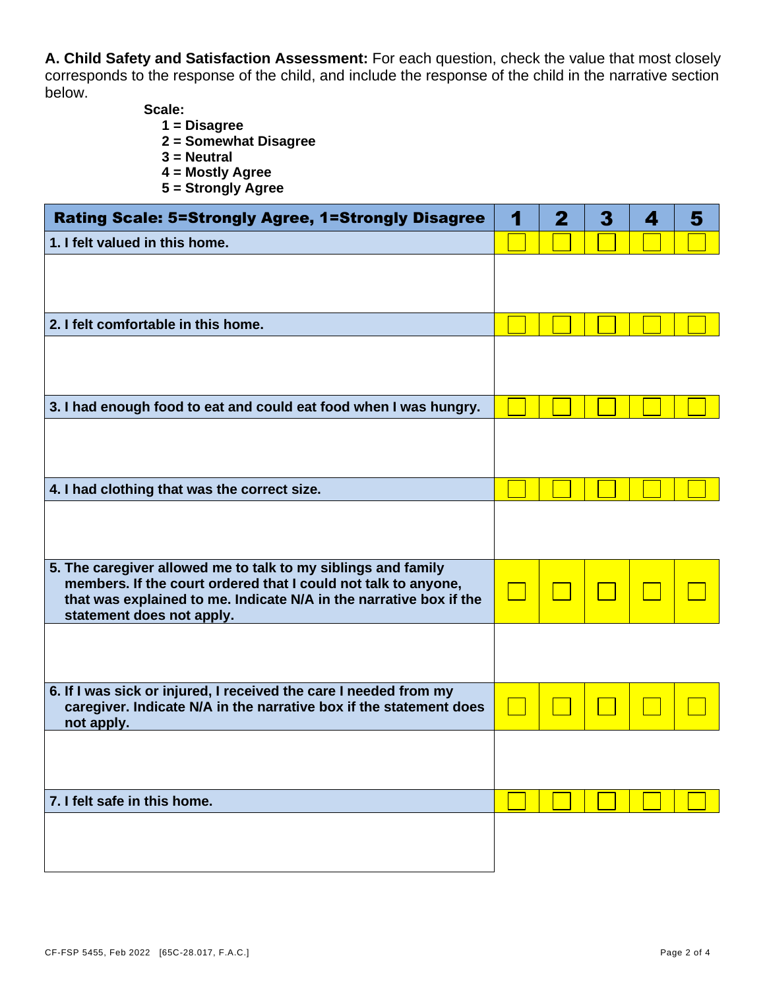**A. Child Safety and Satisfaction Assessment:** For each question, check the value that most closely corresponds to the response of the child, and include the response of the child in the narrative section below.

**Scale:**

- **1 = Disagree**
- **2 = Somewhat Disagree**
- **3 = Neutral**
- **4 = Mostly Agree**
- **5 = Strongly Agree**

| <b>Rating Scale: 5=Strongly Agree, 1=Strongly Disagree</b>                                                                              | 1 | 2 | 3 | 4 | 5 |
|-----------------------------------------------------------------------------------------------------------------------------------------|---|---|---|---|---|
| 1. I felt valued in this home.                                                                                                          |   |   |   |   |   |
|                                                                                                                                         |   |   |   |   |   |
|                                                                                                                                         |   |   |   |   |   |
| 2. I felt comfortable in this home.                                                                                                     |   |   |   |   |   |
|                                                                                                                                         |   |   |   |   |   |
|                                                                                                                                         |   |   |   |   |   |
| 3. I had enough food to eat and could eat food when I was hungry.                                                                       |   |   |   |   |   |
|                                                                                                                                         |   |   |   |   |   |
|                                                                                                                                         |   |   |   |   |   |
| 4. I had clothing that was the correct size.                                                                                            |   |   |   |   |   |
|                                                                                                                                         |   |   |   |   |   |
|                                                                                                                                         |   |   |   |   |   |
| 5. The caregiver allowed me to talk to my siblings and family<br>members. If the court ordered that I could not talk to anyone,         |   |   |   |   |   |
| that was explained to me. Indicate N/A in the narrative box if the<br>statement does not apply.                                         |   |   |   |   |   |
|                                                                                                                                         |   |   |   |   |   |
|                                                                                                                                         |   |   |   |   |   |
| 6. If I was sick or injured, I received the care I needed from my<br>caregiver. Indicate N/A in the narrative box if the statement does |   |   |   |   |   |
| not apply.                                                                                                                              |   |   |   |   |   |
|                                                                                                                                         |   |   |   |   |   |
|                                                                                                                                         |   |   |   |   |   |
| 7. I felt safe in this home.                                                                                                            |   |   |   |   |   |
|                                                                                                                                         |   |   |   |   |   |
|                                                                                                                                         |   |   |   |   |   |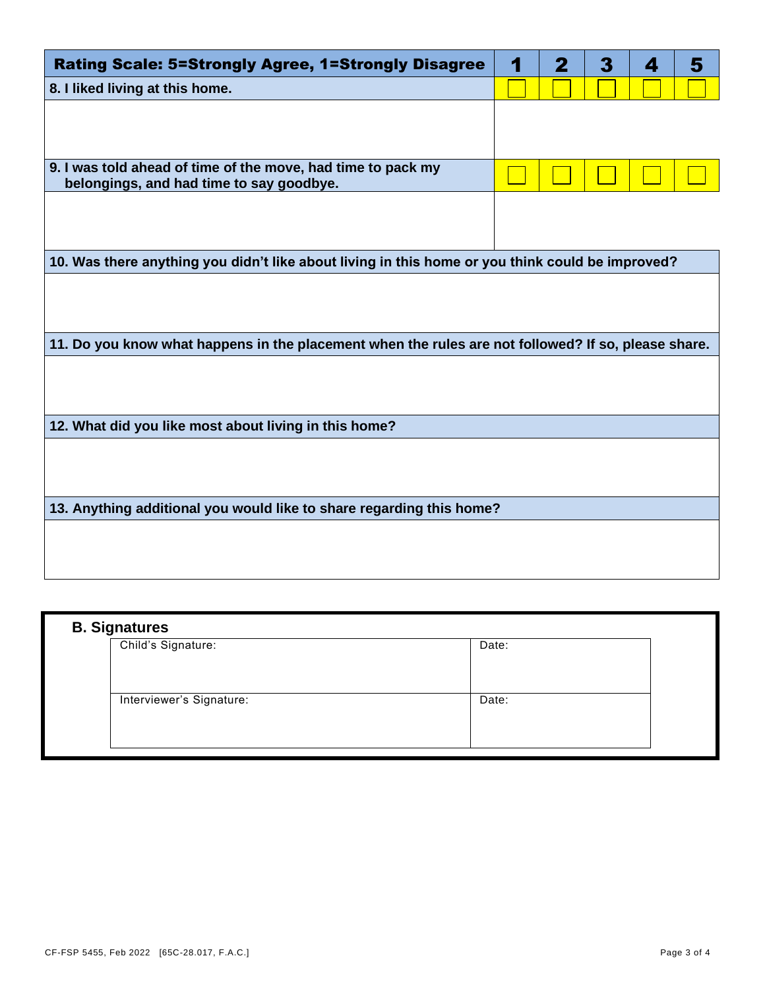| <b>Rating Scale: 5=Strongly Agree, 1=Strongly Disagree</b>                                          | 1 | 2 | 3 | 4 | 5 |  |  |
|-----------------------------------------------------------------------------------------------------|---|---|---|---|---|--|--|
| 8. I liked living at this home.                                                                     |   |   |   |   |   |  |  |
|                                                                                                     |   |   |   |   |   |  |  |
|                                                                                                     |   |   |   |   |   |  |  |
| 9. I was told ahead of time of the move, had time to pack my                                        |   |   |   |   |   |  |  |
| belongings, and had time to say goodbye.                                                            |   |   |   |   |   |  |  |
|                                                                                                     |   |   |   |   |   |  |  |
|                                                                                                     |   |   |   |   |   |  |  |
| 10. Was there anything you didn't like about living in this home or you think could be improved?    |   |   |   |   |   |  |  |
|                                                                                                     |   |   |   |   |   |  |  |
|                                                                                                     |   |   |   |   |   |  |  |
| 11. Do you know what happens in the placement when the rules are not followed? If so, please share. |   |   |   |   |   |  |  |
|                                                                                                     |   |   |   |   |   |  |  |
|                                                                                                     |   |   |   |   |   |  |  |
|                                                                                                     |   |   |   |   |   |  |  |
| 12. What did you like most about living in this home?                                               |   |   |   |   |   |  |  |
|                                                                                                     |   |   |   |   |   |  |  |
|                                                                                                     |   |   |   |   |   |  |  |
| 13. Anything additional you would like to share regarding this home?                                |   |   |   |   |   |  |  |
|                                                                                                     |   |   |   |   |   |  |  |
|                                                                                                     |   |   |   |   |   |  |  |
|                                                                                                     |   |   |   |   |   |  |  |

| <b>B. Signatures</b>     |       |  |  |  |
|--------------------------|-------|--|--|--|
| Child's Signature:       | Date: |  |  |  |
|                          |       |  |  |  |
|                          |       |  |  |  |
| Interviewer's Signature: | Date: |  |  |  |
|                          |       |  |  |  |
|                          |       |  |  |  |